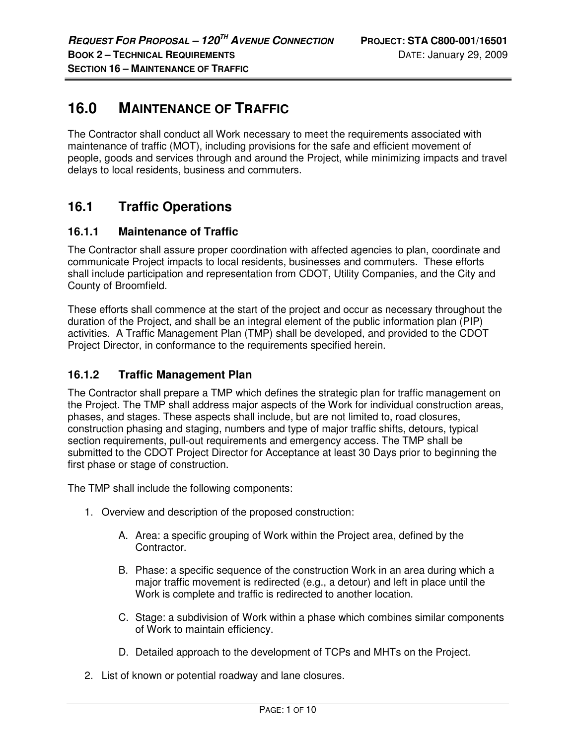# **16.0 MAINTENANCE OF TRAFFIC**

The Contractor shall conduct all Work necessary to meet the requirements associated with maintenance of traffic (MOT), including provisions for the safe and efficient movement of people, goods and services through and around the Project, while minimizing impacts and travel delays to local residents, business and commuters.

# **16.1 Traffic Operations**

## **16.1.1 Maintenance of Traffic**

The Contractor shall assure proper coordination with affected agencies to plan, coordinate and communicate Project impacts to local residents, businesses and commuters. These efforts shall include participation and representation from CDOT, Utility Companies, and the City and County of Broomfield.

These efforts shall commence at the start of the project and occur as necessary throughout the duration of the Project, and shall be an integral element of the public information plan (PIP) activities. A Traffic Management Plan (TMP) shall be developed, and provided to the CDOT Project Director, in conformance to the requirements specified herein.

## **16.1.2 Traffic Management Plan**

The Contractor shall prepare a TMP which defines the strategic plan for traffic management on the Project. The TMP shall address major aspects of the Work for individual construction areas, phases, and stages. These aspects shall include, but are not limited to, road closures, construction phasing and staging, numbers and type of major traffic shifts, detours, typical section requirements, pull-out requirements and emergency access. The TMP shall be submitted to the CDOT Project Director for Acceptance at least 30 Days prior to beginning the first phase or stage of construction.

The TMP shall include the following components:

- 1. Overview and description of the proposed construction:
	- A. Area: a specific grouping of Work within the Project area, defined by the Contractor.
	- B. Phase: a specific sequence of the construction Work in an area during which a major traffic movement is redirected (e.g., a detour) and left in place until the Work is complete and traffic is redirected to another location.
	- C. Stage: a subdivision of Work within a phase which combines similar components of Work to maintain efficiency.
	- D. Detailed approach to the development of TCPs and MHTs on the Project.
- 2. List of known or potential roadway and lane closures.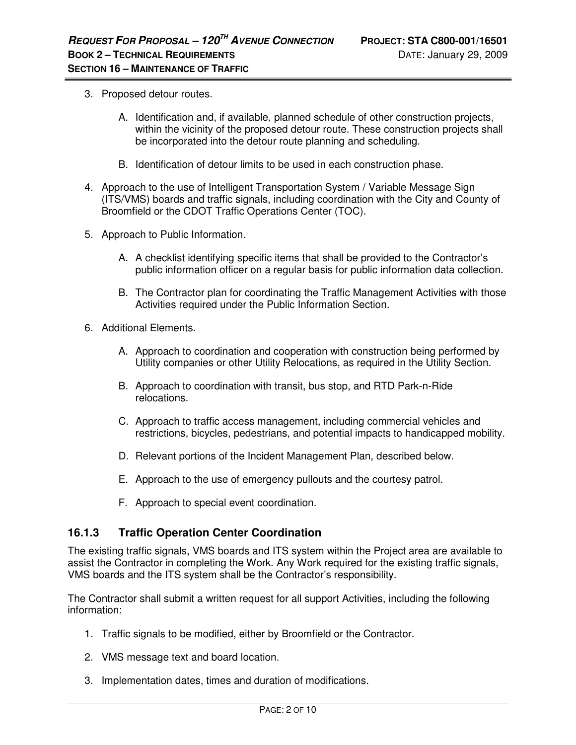- 3. Proposed detour routes.
	- A. Identification and, if available, planned schedule of other construction projects, within the vicinity of the proposed detour route. These construction projects shall be incorporated into the detour route planning and scheduling.
	- B. Identification of detour limits to be used in each construction phase.
- 4. Approach to the use of Intelligent Transportation System / Variable Message Sign (ITS/VMS) boards and traffic signals, including coordination with the City and County of Broomfield or the CDOT Traffic Operations Center (TOC).
- 5. Approach to Public Information.
	- A. A checklist identifying specific items that shall be provided to the Contractor's public information officer on a regular basis for public information data collection.
	- B. The Contractor plan for coordinating the Traffic Management Activities with those Activities required under the Public Information Section.
- 6. Additional Elements.
	- A. Approach to coordination and cooperation with construction being performed by Utility companies or other Utility Relocations, as required in the Utility Section.
	- B. Approach to coordination with transit, bus stop, and RTD Park-n-Ride relocations.
	- C. Approach to traffic access management, including commercial vehicles and restrictions, bicycles, pedestrians, and potential impacts to handicapped mobility.
	- D. Relevant portions of the Incident Management Plan, described below.
	- E. Approach to the use of emergency pullouts and the courtesy patrol.
	- F. Approach to special event coordination.

## **16.1.3 Traffic Operation Center Coordination**

The existing traffic signals, VMS boards and ITS system within the Project area are available to assist the Contractor in completing the Work. Any Work required for the existing traffic signals, VMS boards and the ITS system shall be the Contractor's responsibility.

The Contractor shall submit a written request for all support Activities, including the following information:

- 1. Traffic signals to be modified, either by Broomfield or the Contractor.
- 2. VMS message text and board location.
- 3. Implementation dates, times and duration of modifications.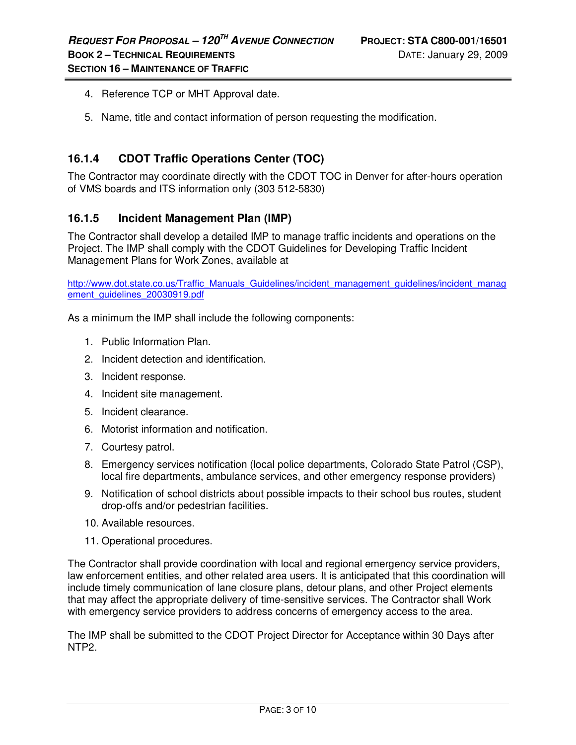- 4. Reference TCP or MHT Approval date.
- 5. Name, title and contact information of person requesting the modification.

## **16.1.4 CDOT Traffic Operations Center (TOC)**

The Contractor may coordinate directly with the CDOT TOC in Denver for after-hours operation of VMS boards and ITS information only (303 512-5830)

#### **16.1.5 Incident Management Plan (IMP)**

The Contractor shall develop a detailed IMP to manage traffic incidents and operations on the Project. The IMP shall comply with the CDOT Guidelines for Developing Traffic Incident Management Plans for Work Zones, available at

http://www.dot.state.co.us/Traffic\_Manuals\_Guidelines/incident\_management\_guidelines/incident\_manag ement\_guidelines\_20030919.pdf

As a minimum the IMP shall include the following components:

- 1. Public Information Plan.
- 2. Incident detection and identification.
- 3. Incident response.
- 4. Incident site management.
- 5. Incident clearance.
- 6. Motorist information and notification.
- 7. Courtesy patrol.
- 8. Emergency services notification (local police departments, Colorado State Patrol (CSP), local fire departments, ambulance services, and other emergency response providers)
- 9. Notification of school districts about possible impacts to their school bus routes, student drop-offs and/or pedestrian facilities.
- 10. Available resources.
- 11. Operational procedures.

The Contractor shall provide coordination with local and regional emergency service providers, law enforcement entities, and other related area users. It is anticipated that this coordination will include timely communication of lane closure plans, detour plans, and other Project elements that may affect the appropriate delivery of time-sensitive services. The Contractor shall Work with emergency service providers to address concerns of emergency access to the area.

The IMP shall be submitted to the CDOT Project Director for Acceptance within 30 Days after NTP2.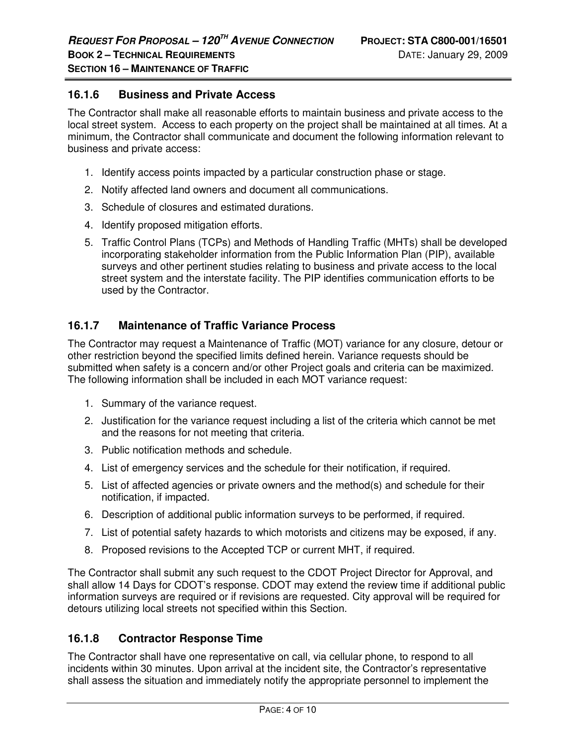## **16.1.6 Business and Private Access**

The Contractor shall make all reasonable efforts to maintain business and private access to the local street system. Access to each property on the project shall be maintained at all times. At a minimum, the Contractor shall communicate and document the following information relevant to business and private access:

- 1. Identify access points impacted by a particular construction phase or stage.
- 2. Notify affected land owners and document all communications.
- 3. Schedule of closures and estimated durations.
- 4. Identify proposed mitigation efforts.
- 5. Traffic Control Plans (TCPs) and Methods of Handling Traffic (MHTs) shall be developed incorporating stakeholder information from the Public Information Plan (PIP), available surveys and other pertinent studies relating to business and private access to the local street system and the interstate facility. The PIP identifies communication efforts to be used by the Contractor.

## **16.1.7 Maintenance of Traffic Variance Process**

The Contractor may request a Maintenance of Traffic (MOT) variance for any closure, detour or other restriction beyond the specified limits defined herein. Variance requests should be submitted when safety is a concern and/or other Project goals and criteria can be maximized. The following information shall be included in each MOT variance request:

- 1. Summary of the variance request.
- 2. Justification for the variance request including a list of the criteria which cannot be met and the reasons for not meeting that criteria.
- 3. Public notification methods and schedule.
- 4. List of emergency services and the schedule for their notification, if required.
- 5. List of affected agencies or private owners and the method(s) and schedule for their notification, if impacted.
- 6. Description of additional public information surveys to be performed, if required.
- 7. List of potential safety hazards to which motorists and citizens may be exposed, if any.
- 8. Proposed revisions to the Accepted TCP or current MHT, if required.

The Contractor shall submit any such request to the CDOT Project Director for Approval, and shall allow 14 Days for CDOT's response. CDOT may extend the review time if additional public information surveys are required or if revisions are requested. City approval will be required for detours utilizing local streets not specified within this Section.

## **16.1.8 Contractor Response Time**

The Contractor shall have one representative on call, via cellular phone, to respond to all incidents within 30 minutes. Upon arrival at the incident site, the Contractor's representative shall assess the situation and immediately notify the appropriate personnel to implement the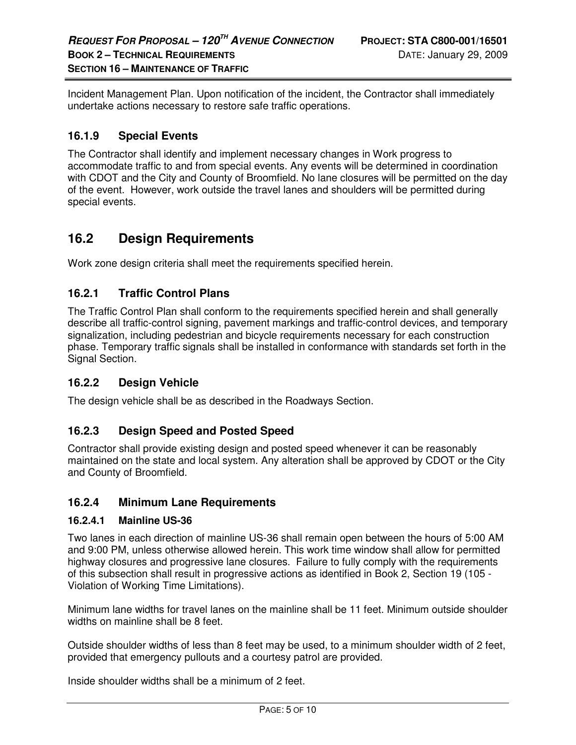Incident Management Plan. Upon notification of the incident, the Contractor shall immediately undertake actions necessary to restore safe traffic operations.

## **16.1.9 Special Events**

The Contractor shall identify and implement necessary changes in Work progress to accommodate traffic to and from special events. Any events will be determined in coordination with CDOT and the City and County of Broomfield. No lane closures will be permitted on the day of the event. However, work outside the travel lanes and shoulders will be permitted during special events.

## **16.2 Design Requirements**

Work zone design criteria shall meet the requirements specified herein.

## **16.2.1 Traffic Control Plans**

The Traffic Control Plan shall conform to the requirements specified herein and shall generally describe all traffic-control signing, pavement markings and traffic-control devices, and temporary signalization, including pedestrian and bicycle requirements necessary for each construction phase. Temporary traffic signals shall be installed in conformance with standards set forth in the Signal Section.

## **16.2.2 Design Vehicle**

The design vehicle shall be as described in the Roadways Section.

## **16.2.3 Design Speed and Posted Speed**

Contractor shall provide existing design and posted speed whenever it can be reasonably maintained on the state and local system. Any alteration shall be approved by CDOT or the City and County of Broomfield.

#### **16.2.4 Minimum Lane Requirements**

#### **16.2.4.1 Mainline US-36**

Two lanes in each direction of mainline US-36 shall remain open between the hours of 5:00 AM and 9:00 PM, unless otherwise allowed herein. This work time window shall allow for permitted highway closures and progressive lane closures. Failure to fully comply with the requirements of this subsection shall result in progressive actions as identified in Book 2, Section 19 (105 - Violation of Working Time Limitations).

Minimum lane widths for travel lanes on the mainline shall be 11 feet. Minimum outside shoulder widths on mainline shall be 8 feet.

Outside shoulder widths of less than 8 feet may be used, to a minimum shoulder width of 2 feet, provided that emergency pullouts and a courtesy patrol are provided.

Inside shoulder widths shall be a minimum of 2 feet.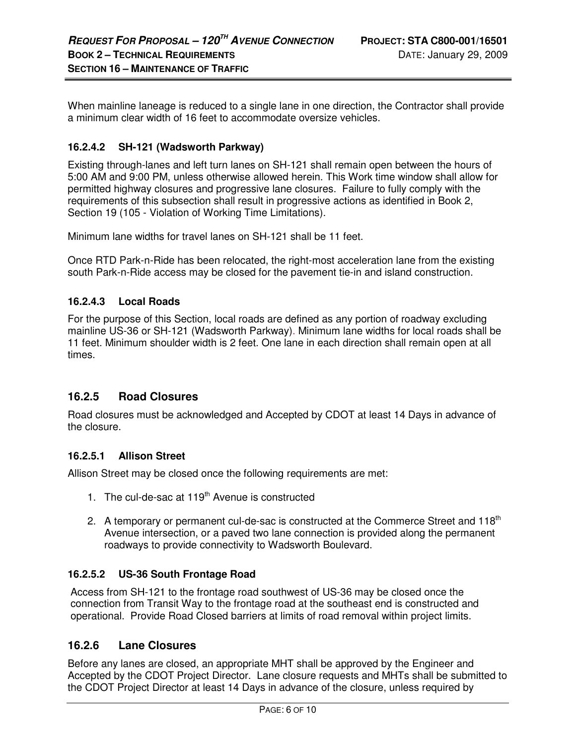When mainline laneage is reduced to a single lane in one direction, the Contractor shall provide a minimum clear width of 16 feet to accommodate oversize vehicles.

## **16.2.4.2 SH-121 (Wadsworth Parkway)**

Existing through-lanes and left turn lanes on SH-121 shall remain open between the hours of 5:00 AM and 9:00 PM, unless otherwise allowed herein. This Work time window shall allow for permitted highway closures and progressive lane closures. Failure to fully comply with the requirements of this subsection shall result in progressive actions as identified in Book 2, Section 19 (105 - Violation of Working Time Limitations).

Minimum lane widths for travel lanes on SH-121 shall be 11 feet.

Once RTD Park-n-Ride has been relocated, the right-most acceleration lane from the existing south Park-n-Ride access may be closed for the pavement tie-in and island construction.

#### **16.2.4.3 Local Roads**

For the purpose of this Section, local roads are defined as any portion of roadway excluding mainline US-36 or SH-121 (Wadsworth Parkway). Minimum lane widths for local roads shall be 11 feet. Minimum shoulder width is 2 feet. One lane in each direction shall remain open at all times.

## **16.2.5 Road Closures**

Road closures must be acknowledged and Accepted by CDOT at least 14 Days in advance of the closure.

#### **16.2.5.1 Allison Street**

Allison Street may be closed once the following requirements are met:

- 1. The cul-de-sac at  $119<sup>th</sup>$  Avenue is constructed
- 2. A temporary or permanent cul-de-sac is constructed at the Commerce Street and  $118<sup>th</sup>$ Avenue intersection, or a paved two lane connection is provided along the permanent roadways to provide connectivity to Wadsworth Boulevard.

#### **16.2.5.2 US-36 South Frontage Road**

Access from SH-121 to the frontage road southwest of US-36 may be closed once the connection from Transit Way to the frontage road at the southeast end is constructed and operational. Provide Road Closed barriers at limits of road removal within project limits.

## **16.2.6 Lane Closures**

Before any lanes are closed, an appropriate MHT shall be approved by the Engineer and Accepted by the CDOT Project Director. Lane closure requests and MHTs shall be submitted to the CDOT Project Director at least 14 Days in advance of the closure, unless required by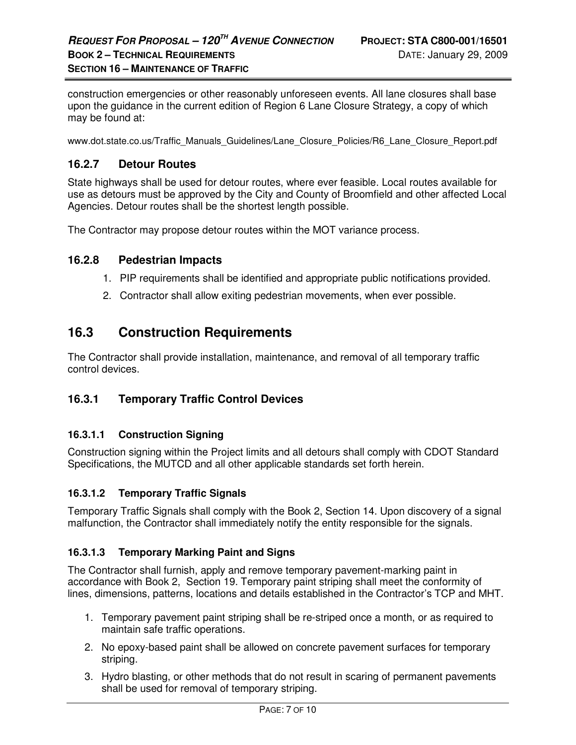construction emergencies or other reasonably unforeseen events. All lane closures shall base upon the guidance in the current edition of Region 6 Lane Closure Strategy, a copy of which may be found at:

www.dot.state.co.us/Traffic\_Manuals\_Guidelines/Lane\_Closure\_Policies/R6\_Lane\_Closure\_Report.pdf

## **16.2.7 Detour Routes**

State highways shall be used for detour routes, where ever feasible. Local routes available for use as detours must be approved by the City and County of Broomfield and other affected Local Agencies. Detour routes shall be the shortest length possible.

The Contractor may propose detour routes within the MOT variance process.

#### **16.2.8 Pedestrian Impacts**

- 1. PIP requirements shall be identified and appropriate public notifications provided.
- 2. Contractor shall allow exiting pedestrian movements, when ever possible.

## **16.3 Construction Requirements**

The Contractor shall provide installation, maintenance, and removal of all temporary traffic control devices.

## **16.3.1 Temporary Traffic Control Devices**

#### **16.3.1.1 Construction Signing**

Construction signing within the Project limits and all detours shall comply with CDOT Standard Specifications, the MUTCD and all other applicable standards set forth herein.

#### **16.3.1.2 Temporary Traffic Signals**

Temporary Traffic Signals shall comply with the Book 2, Section 14. Upon discovery of a signal malfunction, the Contractor shall immediately notify the entity responsible for the signals.

#### **16.3.1.3 Temporary Marking Paint and Signs**

The Contractor shall furnish, apply and remove temporary pavement-marking paint in accordance with Book 2, Section 19. Temporary paint striping shall meet the conformity of lines, dimensions, patterns, locations and details established in the Contractor's TCP and MHT.

- 1. Temporary pavement paint striping shall be re-striped once a month, or as required to maintain safe traffic operations.
- 2. No epoxy-based paint shall be allowed on concrete pavement surfaces for temporary striping.
- 3. Hydro blasting, or other methods that do not result in scaring of permanent pavements shall be used for removal of temporary striping.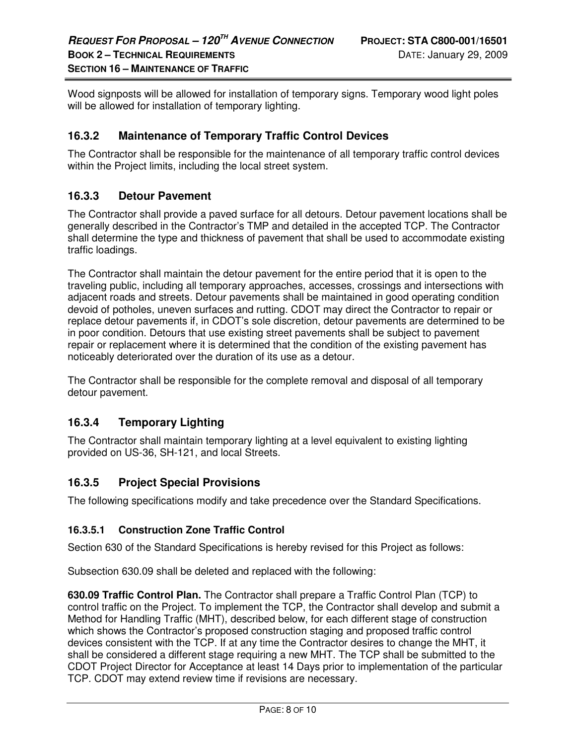Wood signposts will be allowed for installation of temporary signs. Temporary wood light poles will be allowed for installation of temporary lighting.

## **16.3.2 Maintenance of Temporary Traffic Control Devices**

The Contractor shall be responsible for the maintenance of all temporary traffic control devices within the Project limits, including the local street system.

## **16.3.3 Detour Pavement**

The Contractor shall provide a paved surface for all detours. Detour pavement locations shall be generally described in the Contractor's TMP and detailed in the accepted TCP. The Contractor shall determine the type and thickness of pavement that shall be used to accommodate existing traffic loadings.

The Contractor shall maintain the detour pavement for the entire period that it is open to the traveling public, including all temporary approaches, accesses, crossings and intersections with adjacent roads and streets. Detour pavements shall be maintained in good operating condition devoid of potholes, uneven surfaces and rutting. CDOT may direct the Contractor to repair or replace detour pavements if, in CDOT's sole discretion, detour pavements are determined to be in poor condition. Detours that use existing street pavements shall be subject to pavement repair or replacement where it is determined that the condition of the existing pavement has noticeably deteriorated over the duration of its use as a detour.

The Contractor shall be responsible for the complete removal and disposal of all temporary detour pavement.

## **16.3.4 Temporary Lighting**

The Contractor shall maintain temporary lighting at a level equivalent to existing lighting provided on US-36, SH-121, and local Streets.

## **16.3.5 Project Special Provisions**

The following specifications modify and take precedence over the Standard Specifications.

## **16.3.5.1 Construction Zone Traffic Control**

Section 630 of the Standard Specifications is hereby revised for this Project as follows:

Subsection 630.09 shall be deleted and replaced with the following:

**630.09 Traffic Control Plan.** The Contractor shall prepare a Traffic Control Plan (TCP) to control traffic on the Project. To implement the TCP, the Contractor shall develop and submit a Method for Handling Traffic (MHT), described below, for each different stage of construction which shows the Contractor's proposed construction staging and proposed traffic control devices consistent with the TCP. If at any time the Contractor desires to change the MHT, it shall be considered a different stage requiring a new MHT. The TCP shall be submitted to the CDOT Project Director for Acceptance at least 14 Days prior to implementation of the particular TCP. CDOT may extend review time if revisions are necessary.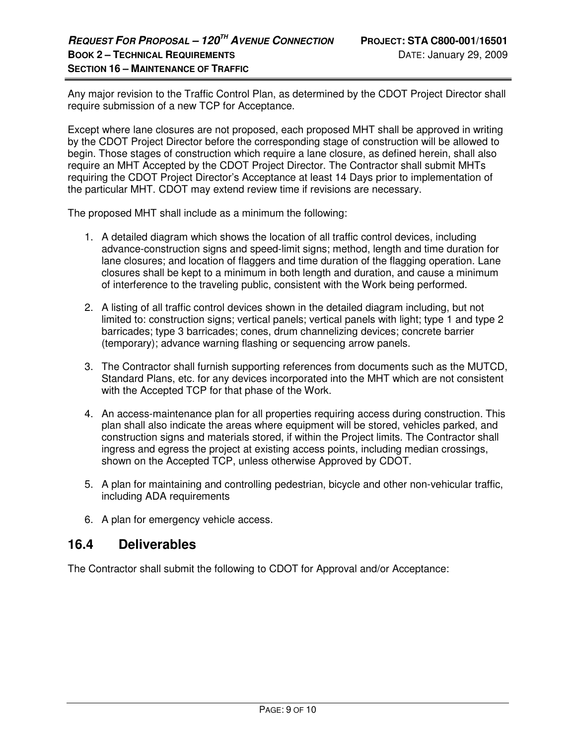Any major revision to the Traffic Control Plan, as determined by the CDOT Project Director shall require submission of a new TCP for Acceptance.

Except where lane closures are not proposed, each proposed MHT shall be approved in writing by the CDOT Project Director before the corresponding stage of construction will be allowed to begin. Those stages of construction which require a lane closure, as defined herein, shall also require an MHT Accepted by the CDOT Project Director. The Contractor shall submit MHTs requiring the CDOT Project Director's Acceptance at least 14 Days prior to implementation of the particular MHT. CDOT may extend review time if revisions are necessary.

The proposed MHT shall include as a minimum the following:

- 1. A detailed diagram which shows the location of all traffic control devices, including advance-construction signs and speed-limit signs; method, length and time duration for lane closures; and location of flaggers and time duration of the flagging operation. Lane closures shall be kept to a minimum in both length and duration, and cause a minimum of interference to the traveling public, consistent with the Work being performed.
- 2. A listing of all traffic control devices shown in the detailed diagram including, but not limited to: construction signs; vertical panels; vertical panels with light; type 1 and type 2 barricades; type 3 barricades; cones, drum channelizing devices; concrete barrier (temporary); advance warning flashing or sequencing arrow panels.
- 3. The Contractor shall furnish supporting references from documents such as the MUTCD, Standard Plans, etc. for any devices incorporated into the MHT which are not consistent with the Accepted TCP for that phase of the Work.
- 4. An access-maintenance plan for all properties requiring access during construction. This plan shall also indicate the areas where equipment will be stored, vehicles parked, and construction signs and materials stored, if within the Project limits. The Contractor shall ingress and egress the project at existing access points, including median crossings, shown on the Accepted TCP, unless otherwise Approved by CDOT.
- 5. A plan for maintaining and controlling pedestrian, bicycle and other non-vehicular traffic, including ADA requirements
- 6. A plan for emergency vehicle access.

## **16.4 Deliverables**

The Contractor shall submit the following to CDOT for Approval and/or Acceptance: